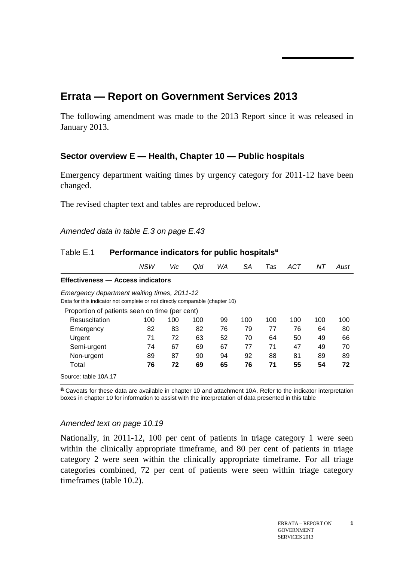# **Errata — Report on Government Services 2013**

The following amendment was made to the 2013 Report since it was released in January 2013.

## **Sector overview E — Health, Chapter 10 — Public hospitals**

Emergency department waiting times by urgency category for 2011-12 have been changed.

The revised chapter text and tables are reproduced below.

| Amended data in table E.3 on page E.43 |  |  |  |  |  |  |
|----------------------------------------|--|--|--|--|--|--|
|----------------------------------------|--|--|--|--|--|--|

|                                                                              | <b>NSW</b> | Vic | Qld | WA | SA  | Tas | ACT | ΝT  | Aust |
|------------------------------------------------------------------------------|------------|-----|-----|----|-----|-----|-----|-----|------|
| Effectiveness - Access indicators                                            |            |     |     |    |     |     |     |     |      |
| Emergency department waiting times, 2011-12                                  |            |     |     |    |     |     |     |     |      |
| Data for this indicator not complete or not directly comparable (chapter 10) |            |     |     |    |     |     |     |     |      |
| Proportion of patients seen on time (per cent)                               |            |     |     |    |     |     |     |     |      |
| Resuscitation                                                                | 100        | 100 | 100 | 99 | 100 | 100 | 100 | 100 | 100  |
| Emergency                                                                    | 82         | 83  | 82  | 76 | 79  | 77  | 76  | 64  | 80   |
| Urgent                                                                       | 71         | 72  | 63  | 52 | 70  | 64  | 50  | 49  | 66   |
| Semi-urgent                                                                  | 74         | 67  | 69  | 67 | 77  | 71  | 47  | 49  | 70   |
| Non-urgent                                                                   | 89         | 87  | 90  | 94 | 92  | 88  | 81  | 89  | 89   |
| Total                                                                        | 76         | 72  | 69  | 65 | 76  | 71  | 55  | 54  | 72   |
| Source: table 10A.17                                                         |            |     |     |    |     |     |     |     |      |

### Table E.1 **Performance indicators for public hospitals<sup>a</sup>**

**a** Caveats for these data are available in chapter 10 and attachment 10A. Refer to the indicator interpretation boxes in chapter 10 for information to assist with the interpretation of data presented in this table

#### *Amended text on page 10.19*

Nationally, in 2011-12, 100 per cent of patients in triage category 1 were seen within the clinically appropriate timeframe, and 80 per cent of patients in triage category 2 were seen within the clinically appropriate timeframe. For all triage categories combined, 72 per cent of patients were seen within triage category timeframes (table 10.2).

**1**